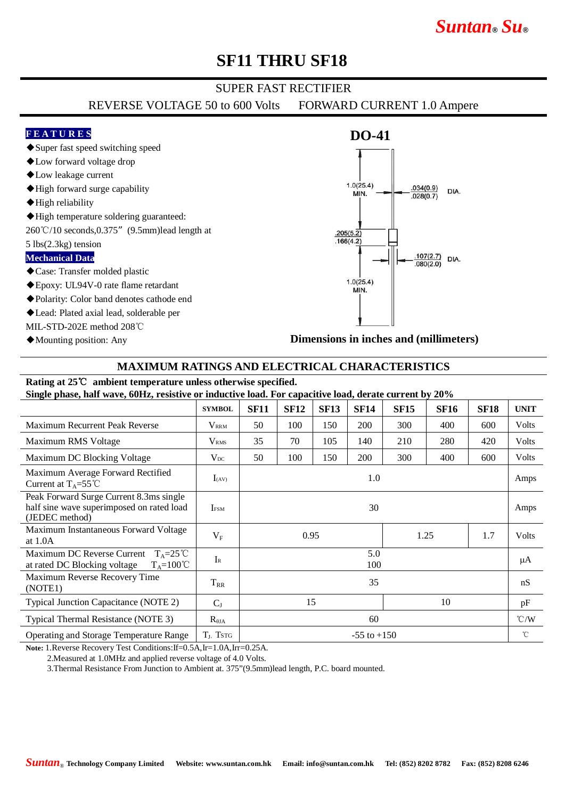# *Suntan***®** *Su***®**

## **SF11 THRU SF18**

### SUPER FAST RECTIFIER

REVERSE VOLTAGE 50 to 600 Volts FORWARD CURRENT 1.0 Ampere

#### **F E A T U R E S**

◆Super fast speed switching speed

- ◆Low forward voltage drop
- ◆Low leakage current
- ◆High forward surge capability
- ◆High reliability
- ◆High temperature soldering guaranteed:

260℃/10 seconds,0.375"(9.5mm)lead length at

5 lbs(2.3kg) tension

#### **Mechanical Data**

- ◆Case: Transfer molded plastic
- ◆Epoxy: UL94V-0 rate flame retardant
- ◆Polarity: Color band denotes cathode end
- ◆Lead: Plated axial lead, solderable per
- MIL-STD-202E method 208℃
- ◆Mounting position: Any

### **DO-41**  $1.0(25.4)$  $.034(0.9)$ DIA. **MIN**  $028(0.7)$  $.205(5.\overline{2})$  $.166(4.2)$  $.107(2.7)$ DIA.  $.080(2.0)$  $1.0(25.4)$ MIN.

**Dimensions in inches and (millimeters)**

#### **MAXIMUM RATINGS AND ELECTRICAL CHARACTERISTICS**

### **Rating at 25**℃ **ambient temperature unless otherwise specified.**

**Single phase, half wave, 60Hz, resistive or inductive load. For capacitive load, derate current by 20%**

|                                                                                                           | <b>SYMBOL</b>         | <b>SF11</b>         | <b>SF12</b> | <b>SF13</b> | <b>SF14</b> | <b>SF15</b> | <b>SF16</b> | <b>SF18</b> | <b>UNIT</b>   |
|-----------------------------------------------------------------------------------------------------------|-----------------------|---------------------|-------------|-------------|-------------|-------------|-------------|-------------|---------------|
| <b>Maximum Recurrent Peak Reverse</b>                                                                     | $\rm V_{\rm RRM}$     | 50                  | 100         | 150         | 200         | 300         | 400         | 600         | <b>Volts</b>  |
| Maximum RMS Voltage                                                                                       | V <sub>RMS</sub>      | 35                  | 70          | 105         | 140         | 210         | 280         | 420         | Volts         |
| Maximum DC Blocking Voltage                                                                               | $V_{DC}$              | 50                  | 100         | 150         | 200         | 300         | 400         | 600         | <b>Volts</b>  |
| Maximum Average Forward Rectified<br>Current at $T_A = 55^{\circ}C$                                       | $I_{(AV)}$            | 1.0                 |             |             |             |             |             |             | Amps          |
| Peak Forward Surge Current 8.3ms single<br>half sine wave superimposed on rated load<br>(JEDEC method)    | <b>IFSM</b>           | 30                  |             |             |             |             |             |             | Amps          |
| Maximum Instantaneous Forward Voltage<br>at $1.0A$                                                        | $V_{F}$               | 1.7<br>0.95<br>1.25 |             |             |             |             |             |             | <b>Volts</b>  |
| Maximum DC Reverse Current<br>$T_A = 25^{\circ}C$<br>$T_A = 100^{\circ}C$<br>at rated DC Blocking voltage | $I_{R}$               | 5.0<br>100          |             |             |             |             |             |             | μA            |
| Maximum Reverse Recovery Time<br>(NOTE1)                                                                  | $T_{RR}$              | 35                  |             |             |             |             |             |             | nS            |
| Typical Junction Capacitance (NOTE 2)                                                                     | $C_{J}$               | 15<br>10            |             |             |             |             |             |             | pF            |
| Typical Thermal Resistance (NOTE 3)                                                                       | $R_{\theta JA}$       | 60                  |             |             |             |             |             |             | $\degree$ C/W |
| <b>Operating and Storage Temperature Range</b>                                                            | T <sub>J</sub> , TsTG | $-55$ to $+150$     |             |             |             |             |             |             | $^{\circ}$ C  |

**Note:** 1.Reverse Recovery Test Conditions:If=0.5A,Ir=1.0A,Irr=0.25A.

2.Measured at 1.0MHz and applied reverse voltage of 4.0 Volts.

3.Thermal Resistance From Junction to Ambient at. 375"(9.5mm)lead length, P.C. board mounted.